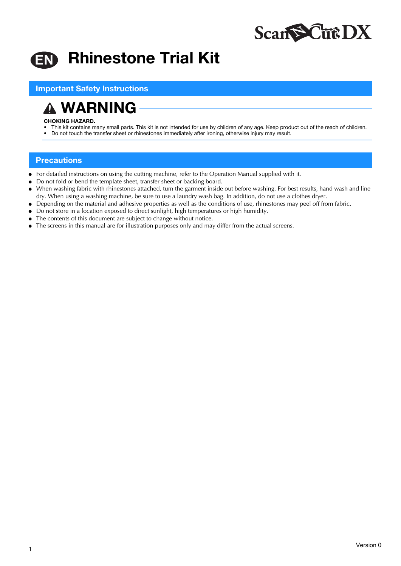

# Rhinestone Trial Kit **EN**

Important Safety Instructions

WARNING

### CHOKING HAZARD.

- This kit contains many small parts. This kit is not intended for use by children of any age. Keep product out of the reach of children.
- Do not touch the transfer sheet or rhinestones immediately after ironing, otherwise injury may result.

## **Precautions**

- For detailed instructions on using the cutting machine, refer to the Operation Manual supplied with it.
- Do not fold or bend the template sheet, transfer sheet or backing board.
- When washing fabric with rhinestones attached, turn the garment inside out before washing. For best results, hand wash and line dry. When using a washing machine, be sure to use a laundry wash bag. In addition, do not use a clothes dryer.
- Depending on the material and adhesive properties as well as the conditions of use, rhinestones may peel off from fabric.
- Do not store in a location exposed to direct sunlight, high temperatures or high humidity.
- The contents of this document are subject to change without notice.
- The screens in this manual are for illustration purposes only and may differ from the actual screens.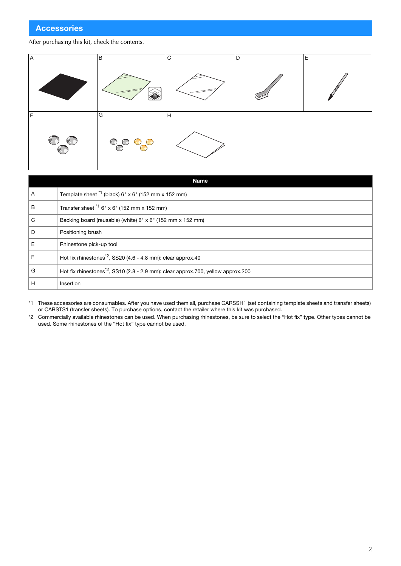## After purchasing this kit, check the contents.



| <b>Name</b>  |                                                                                              |  |  |  |
|--------------|----------------------------------------------------------------------------------------------|--|--|--|
| Α            | Template sheet *1 (black) 6" x 6" (152 mm x 152 mm)                                          |  |  |  |
| в            | Transfer sheet $1/6$ " x 6" (152 mm x 152 mm)                                                |  |  |  |
| $\mathsf{C}$ | Backing board (reusable) (white) 6" x 6" (152 mm x 152 mm)                                   |  |  |  |
| l D          | Positioning brush                                                                            |  |  |  |
| ΙE           | Rhinestone pick-up tool                                                                      |  |  |  |
| F            | Hot fix rhinestones <sup><math>2</math></sup> , SS20 (4.6 - 4.8 mm): clear approx.40         |  |  |  |
| G            | Hot fix rhinestones <sup>*2</sup> , SS10 (2.8 - 2.9 mm): clear approx.700, yellow approx.200 |  |  |  |
| H            | Insertion                                                                                    |  |  |  |

\*1 These accessories are consumables. After you have used them all, purchase CARSSH1 (set containing template sheets and transfer sheets) or CARSTS1 (transfer sheets). To purchase options, contact the retailer where this kit was purchased.

\*2 Commercially available rhinestones can be used. When purchasing rhinestones, be sure to select the "Hot fix" type. Other types cannot be used. Some rhinestones of the "Hot fix" type cannot be used.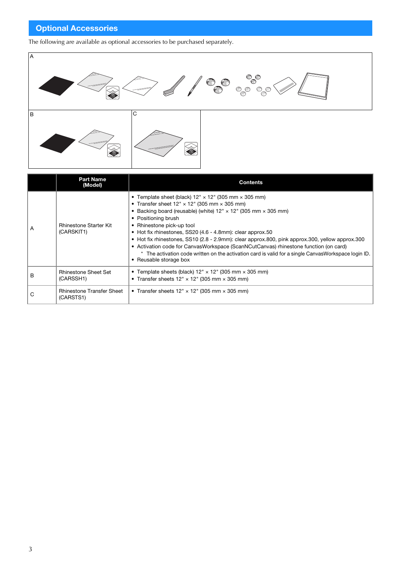# Optional Accessories

The following are available as optional accessories to be purchased separately.



|   | <b>Part Name</b><br>(Model)                   | <b>Contents</b>                                                                                                                                                                                                                                                                                                                                                                                                                                                                                                                                                                                                                                                 |  |
|---|-----------------------------------------------|-----------------------------------------------------------------------------------------------------------------------------------------------------------------------------------------------------------------------------------------------------------------------------------------------------------------------------------------------------------------------------------------------------------------------------------------------------------------------------------------------------------------------------------------------------------------------------------------------------------------------------------------------------------------|--|
| A | <b>Rhinestone Starter Kit</b><br>(CARSKIT1)   | • Template sheet (black) $12" \times 12"$ (305 mm $\times$ 305 mm)<br>• Transfer sheet $12" \times 12"$ (305 mm $\times$ 305 mm)<br>• Backing board (reusable) (white) $12" \times 12"$ (305 mm $\times$ 305 mm)<br>• Positioning brush<br>• Rhinestone pick-up tool<br>• Hot fix rhinestones, SS20 (4.6 - 4.8mm): clear approx.50<br>• Hot fix rhinestones, SS10 (2.8 - 2.9mm): clear approx.800, pink approx.300, yellow approx.300<br>• Activation code for CanvasWorkspace (ScanNCutCanvas) rhinestone function (on card)<br>* The activation code written on the activation card is valid for a single CanvasWorkspace login ID.<br>• Reusable storage box |  |
| в | <b>Rhinestone Sheet Set</b><br>(CARSSH1)      | • Template sheets (black) $12" \times 12"$ (305 mm $\times$ 305 mm)<br>• Transfer sheets $12" \times 12"$ (305 mm $\times$ 305 mm)                                                                                                                                                                                                                                                                                                                                                                                                                                                                                                                              |  |
| С | <b>Rhinestone Transfer Sheet</b><br>(CARSTS1) | • Transfer sheets $12" \times 12"$ (305 mm $\times$ 305 mm)                                                                                                                                                                                                                                                                                                                                                                                                                                                                                                                                                                                                     |  |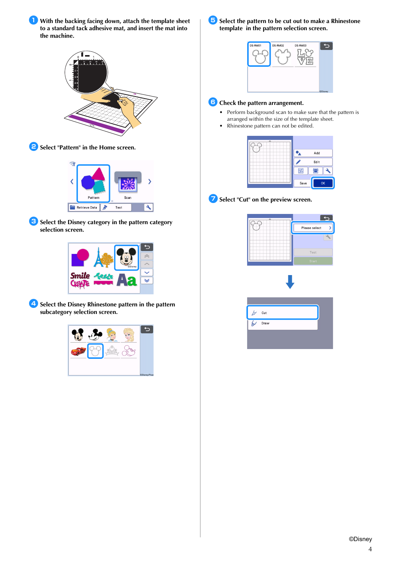**With the backing facing down, attach the template sheet to a standard tack adhesive mat, and insert the mat into the machine.**







**C** Select the Disney category in the pattern category **selection screen.**



**4** Select the Disney Rhinestone pattern in the pattern **subcategory selection screen.**



**5** Select the pattern to be cut out to make a Rhinestone **template in the pattern selection screen.**



# **6** Check the pattern arrangement.

- Perform background scan to make sure that the pattern is arranged within the size of the template sheet.
- Rhinestone pattern can not be edited.

|                 | Add  |
|-----------------|------|
|                 | Edit |
| $\frac{56}{20}$ |      |
| Save            | OK   |

**z** Select "Cut" on the preview screen.



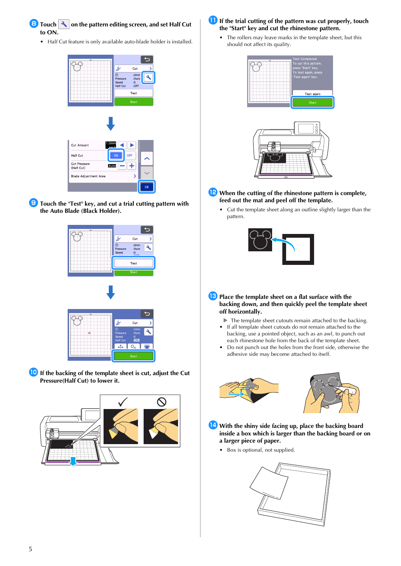

• Half Cut feature is only available auto-blade holder is installed.



**fouch the "Test" key, and cut a trial cutting pattern with the Auto Blade (Black Holder).**



**If the backing of the template sheet is cut, adjust the Cut Pressure(Half Cut) to lower it.**



- **If the trial cutting of the pattern was cut properly, touch the "Start" key and cut the rhinestone pattern.**
	- The rollers may leave marks in the template sheet, but this should not affect its quality.



- <sup>l</sup>**When the cutting of the rhinestone pattern is complete, feed out the mat and peel off the template.**
	- Cut the template sheet along an outline slightly larger than the pattern.



- **B** Place the template sheet on a flat surface with the **backing down, and then quickly peel the template sheet off horizontally.**
	- The template sheet cutouts remain attached to the backing. • If all template sheet cutouts do not remain attached to the
	- backing, use a pointed object, such as an awl, to punch out each rhinestone hole from the back of the template sheet.
	- Do not punch out the holes from the front side, otherwise the adhesive side may become attached to itself.





- **14** With the shiny side facing up, place the backing board **inside a box which is larger than the backing board or on a larger piece of paper.**
	- Box is optional, not supplied.